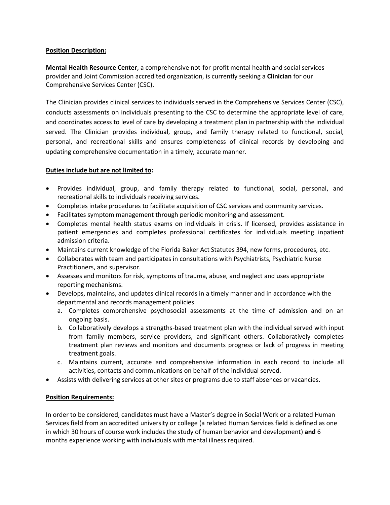## **Position Description:**

**Mental Health Resource Center**, a comprehensive not-for-profit mental health and social services provider and Joint Commission accredited organization, is currently seeking a **Clinician** for our Comprehensive Services Center (CSC).

The Clinician provides clinical services to individuals served in the Comprehensive Services Center (CSC), conducts assessments on individuals presenting to the CSC to determine the appropriate level of care, and coordinates access to level of care by developing a treatment plan in partnership with the individual served. The Clinician provides individual, group, and family therapy related to functional, social, personal, and recreational skills and ensures completeness of clinical records by developing and updating comprehensive documentation in a timely, accurate manner.

## **Duties include but are not limited to:**

- Provides individual, group, and family therapy related to functional, social, personal, and recreational skills to individuals receiving services.
- Completes intake procedures to facilitate acquisition of CSC services and community services.
- Facilitates symptom management through periodic monitoring and assessment.
- Completes mental health status exams on individuals in crisis. If licensed, provides assistance in patient emergencies and completes professional certificates for individuals meeting inpatient admission criteria.
- Maintains current knowledge of the Florida Baker Act Statutes 394, new forms, procedures, etc.
- Collaborates with team and participates in consultations with Psychiatrists, Psychiatric Nurse Practitioners, and supervisor.
- Assesses and monitors for risk, symptoms of trauma, abuse, and neglect and uses appropriate reporting mechanisms.
- Develops, maintains, and updates clinical records in a timely manner and in accordance with the departmental and records management policies.
	- a. Completes comprehensive psychosocial assessments at the time of admission and on an ongoing basis.
	- b. Collaboratively develops a strengths-based treatment plan with the individual served with input from family members, service providers, and significant others. Collaboratively completes treatment plan reviews and monitors and documents progress or lack of progress in meeting treatment goals.
	- c. Maintains current, accurate and comprehensive information in each record to include all activities, contacts and communications on behalf of the individual served.
- Assists with delivering services at other sites or programs due to staff absences or vacancies.

## **Position Requirements:**

In order to be considered, candidates must have a Master's degree in Social Work or a related Human Services field from an accredited university or college (a related Human Services field is defined as one in which 30 hours of course work includes the study of human behavior and development) **and** 6 months experience working with individuals with mental illness required.